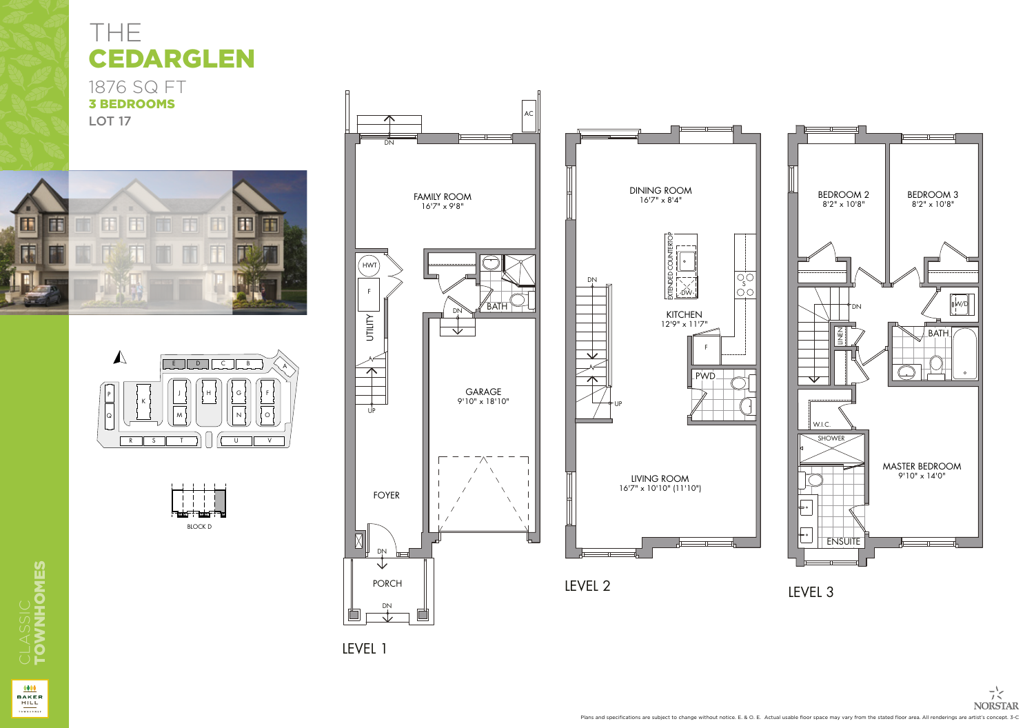## THE CEDARGLEN

1876 SQ FT 3 BEDROOMS LOT<sub>17</sub>









LEVEL 1 LEVEL 1



NORSTAR BAKER HILL INC. IN DER HILL INC. HER BAKER HILL INC. HER BAKER HILL INC. HER BAKER HILL INC. HER BAKER

THE TOWNS AT BAKER HILL

NORSTAR BAKER HILL INC. IN 1999 HOLD INC. IN 1999 HOLD INC. IN 1999 HOLD INC.

WHITCH STOUFFULL CONTINUES.